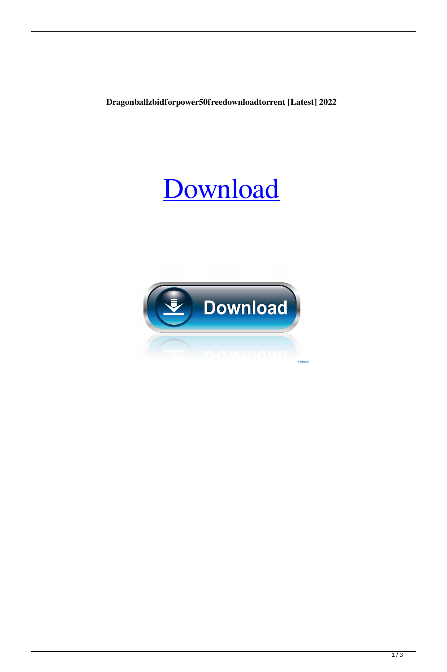Dragonballzbidforpower50freedownloadtorrent [Latest] 2022

## Download

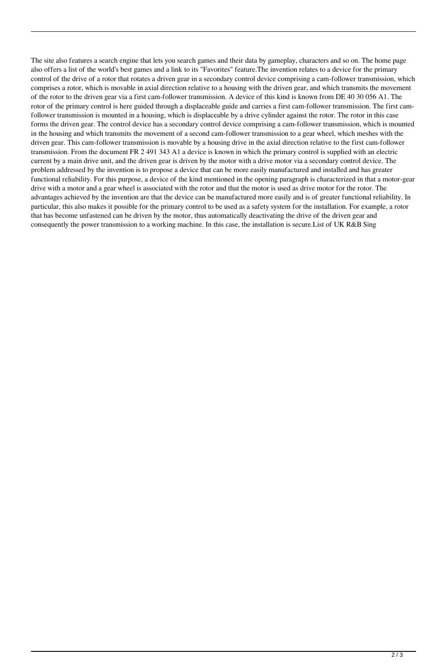The site also features a search engine that lets you search games and their data by gameplay, characters and so on. The home page also offers a list of the world's best games and a link to its "Favorites" feature.The invention relates to a device for the primary control of the drive of a rotor that rotates a driven gear in a secondary control device comprising a cam-follower transmission, which comprises a rotor, which is movable in axial direction relative to a housing with the driven gear, and which transmits the movement of the rotor to the driven gear via a first cam-follower transmission. A device of this kind is known from DE 40 30 056 A1. The rotor of the primary control is here guided through a displaceable guide and carries a first cam-follower transmission. The first camfollower transmission is mounted in a housing, which is displaceable by a drive cylinder against the rotor. The rotor in this case forms the driven gear. The control device has a secondary control device comprising a cam-follower transmission, which is mounted in the housing and which transmits the movement of a second cam-follower transmission to a gear wheel, which meshes with the driven gear. This cam-follower transmission is movable by a housing drive in the axial direction relative to the first cam-follower transmission. From the document FR 2 491 343 A1 a device is known in which the primary control is supplied with an electric current by a main drive unit, and the driven gear is driven by the motor with a drive motor via a secondary control device. The problem addressed by the invention is to propose a device that can be more easily manufactured and installed and has greater functional reliability. For this purpose, a device of the kind mentioned in the opening paragraph is characterized in that a motor-gear drive with a motor and a gear wheel is associated with the rotor and that the motor is used as drive motor for the rotor. The advantages achieved by the invention are that the device can be manufactured more easily and is of greater functional reliability. In particular, this also makes it possible for the primary control to be used as a safety system for the installation. For example, a rotor that has become unfastened can be driven by the motor, thus automatically deactivating the drive of the driven gear and consequently the power transmission to a working machine. In this case, the installation is secure.List of UK R&B Sing